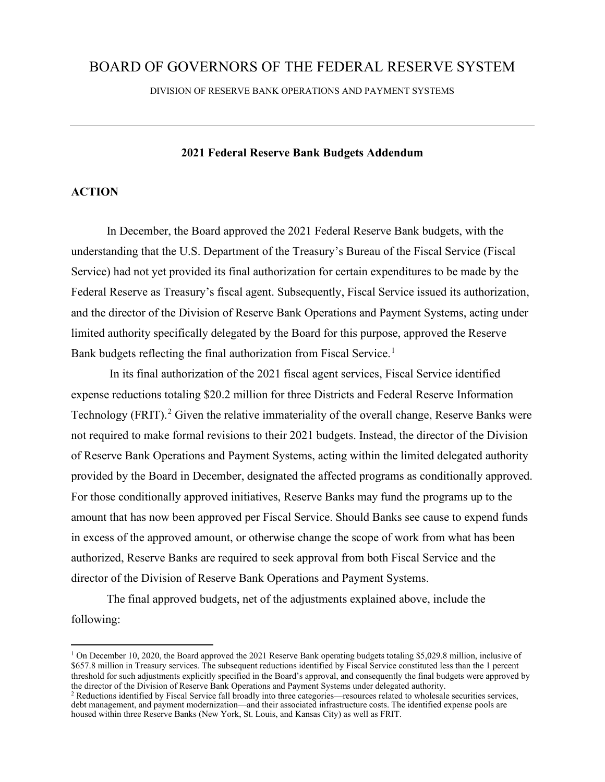# BOARD OF GOVERNORS OF THE FEDERAL RESERVE SYSTEM

DIVISION OF RESERVE BANK OPERATIONS AND PAYMENT SYSTEMS

#### **2021 Federal Reserve Bank Budgets Addendum**

### **ACTION**

In December, the Board approved the 2021 Federal Reserve Bank budgets, with the understanding that the U.S. Department of the Treasury's Bureau of the Fiscal Service (Fiscal Service) had not yet provided its final authorization for certain expenditures to be made by the Federal Reserve as Treasury's fiscal agent. Subsequently, Fiscal Service issued its authorization, and the director of the Division of Reserve Bank Operations and Payment Systems, acting under limited authority specifically delegated by the Board for this purpose, approved the Reserve Bank budgets reflecting the final authorization from Fiscal Service.<sup>1</sup>

In its final authorization of the 2021 fiscal agent services, Fiscal Service identified expense reductions totaling \$20.2 million for three Districts and Federal Reserve Information Technology (FRIT).<sup>2</sup> Given the relative immateriality of the overall change, Reserve Banks were not required to make formal revisions to their 2021 budgets. Instead, the director of the Division of Reserve Bank Operations and Payment Systems, acting within the limited delegated authority provided by the Board in December, designated the affected programs as conditionally approved. For those conditionally approved initiatives, Reserve Banks may fund the programs up to the amount that has now been approved per Fiscal Service. Should Banks see cause to expend funds in excess of the approved amount, or otherwise change the scope of work from what has been authorized, Reserve Banks are required to seek approval from both Fiscal Service and the director of the Division of Reserve Bank Operations and Payment Systems.

The final approved budgets, net of the adjustments explained above, include the following:

<sup>&</sup>lt;sup>1</sup> On December 10, 2020, the Board approved the 2021 Reserve Bank operating budgets totaling \$5,029.8 million, inclusive of \$657.8 million in Treasury services. The subsequent reductions identified by Fiscal Service constituted less than the 1 percent threshold for such adjustments explicitly specified in the Board's approval, and consequently the final budgets were approved by the director of the Division of Reserve Bank Operations and Payment Systems under delegated authority.

<sup>&</sup>lt;sup>2</sup> Reductions identified by Fiscal Service fall broadly into three categories—resources related to wholesale securities services, debt management, and payment modernization—and their associated infrastructure costs. The identified expense pools are housed within three Reserve Banks (New York, St. Louis, and Kansas City) as well as FRIT.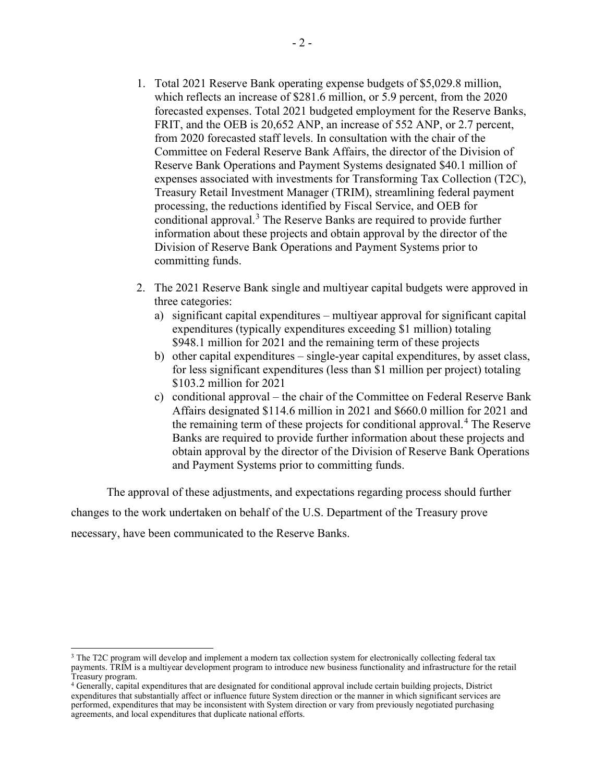- 1. Total 2021 Reserve Bank operating expense budgets of \$5,029.8 million, which reflects an increase of \$281.6 million, or 5.9 percent, from the 2020 forecasted expenses. Total 2021 budgeted employment for the Reserve Banks, FRIT, and the OEB is 20,652 ANP, an increase of 552 ANP, or 2.7 percent, from 2020 forecasted staff levels. In consultation with the chair of the Committee on Federal Reserve Bank Affairs, the director of the Division of Reserve Bank Operations and Payment Systems designated \$40.1 million of expenses associated with investments for Transforming Tax Collection (T2C), Treasury Retail Investment Manager (TRIM), streamlining federal payment processing, the reductions identified by Fiscal Service, and OEB for conditional approval.<sup>3</sup> The Reserve Banks are required to provide further information about these projects and obtain approval by the director of the Division of Reserve Bank Operations and Payment Systems prior to committing funds.
- 2. The 2021 Reserve Bank single and multiyear capital budgets were approved in three categories:
	- a) significant capital expenditures multiyear approval for significant capital expenditures (typically expenditures exceeding \$1 million) totaling \$948.1 million for 2021 and the remaining term of these projects
	- b) other capital expenditures single-year capital expenditures, by asset class, for less significant expenditures (less than \$1 million per project) totaling \$103.2 million for 2021
	- c) conditional approval the chair of the Committee on Federal Reserve Bank Affairs designated \$114.6 million in 2021 and \$660.0 million for 2021 and the remaining term of these projects for conditional approval.<sup>4</sup> The Reserve Banks are required to provide further information about these projects and obtain approval by the director of the Division of Reserve Bank Operations and Payment Systems prior to committing funds.

The approval of these adjustments, and expectations regarding process should further

changes to the work undertaken on behalf of the U.S. Department of the Treasury prove necessary, have been communicated to the Reserve Banks.

<sup>&</sup>lt;sup>3</sup> The T2C program will develop and implement a modern tax collection system for electronically collecting federal tax payments. TRIM is a multiyear development program to introduce new business functionality and infrastructure for the retail<br>Treasury program.

<sup>&</sup>lt;sup>4</sup> Generally, capital expenditures that are designated for conditional approval include certain building projects, District expenditures that substantially affect or influence future System direction or the manner in which significant services are performed, expenditures that may be inconsistent with System direction or vary from previously negotiated purchasing agreements, and local expenditures that duplicate national efforts.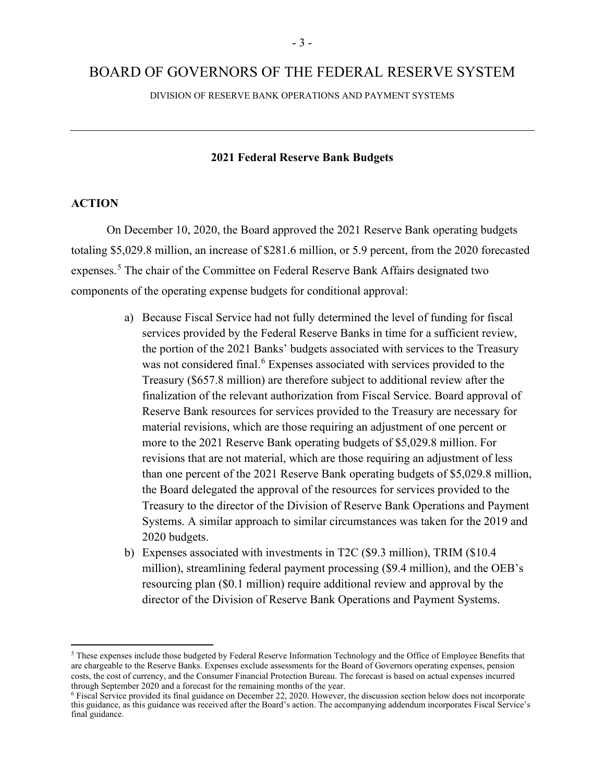# BOARD OF GOVERNORS OF THE FEDERAL RESERVE SYSTEM

DIVISION OF RESERVE BANK OPERATIONS AND PAYMENT SYSTEMS

### **2021 Federal Reserve Bank Budgets**

#### **ACTION**

 On December 10, 2020, the Board approved the 2021 Reserve Bank operating budgets totaling \$5,029.8 million, an increase of \$281.6 million, or 5.9 percent, from the 2020 forecasted expenses.<sup>5</sup> The chair of the Committee on Federal Reserve Bank Affairs designated two components of the operating expense budgets for conditional approval:

- a) Because Fiscal Service had not fully determined the level of funding for fiscal services provided by the Federal Reserve Banks in time for a sufficient review, the portion of the 2021 Banks' budgets associated with services to the Treasury was not considered final.<sup>6</sup> Expenses associated with services provided to the Treasury (\$657.8 million) are therefore subject to additional review after the finalization of the relevant authorization from Fiscal Service. Board approval of Reserve Bank resources for services provided to the Treasury are necessary for material revisions, which are those requiring an adjustment of one percent or more to the 2021 Reserve Bank operating budgets of \$5,029.8 million. For revisions that are not material, which are those requiring an adjustment of less than one percent of the 2021 Reserve Bank operating budgets of \$5,029.8 million, the Board delegated the approval of the resources for services provided to the Treasury to the director of the Division of Reserve Bank Operations and Payment Systems. A similar approach to similar circumstances was taken for the 2019 and 2020 budgets.
- b) Expenses associated with investments in T2C (\$9.3 million), TRIM (\$10.4 million), streamlining federal payment processing (\$9.4 million), and the OEB's resourcing plan (\$0.1 million) require additional review and approval by the director of the Division of Reserve Bank Operations and Payment Systems.

<sup>5</sup> These expenses include those budgeted by Federal Reserve Information Technology and the Office of Employee Benefits that are chargeable to the Reserve Banks. Expenses exclude assessments for the Board of Governors operating expenses, pension costs, the cost of currency, and the Consumer Financial Protection Bureau. The forecast is based on actual expenses incurred through September 2020 and a forecast for the remaining months of the year.

<sup>6</sup> Fiscal Service provided its final guidance on December 22, 2020. However, the discussion section below does not incorporate this guidance, as this guidance was received after the Board's action. The accompanying addendum incorporates Fiscal Service's final guidance.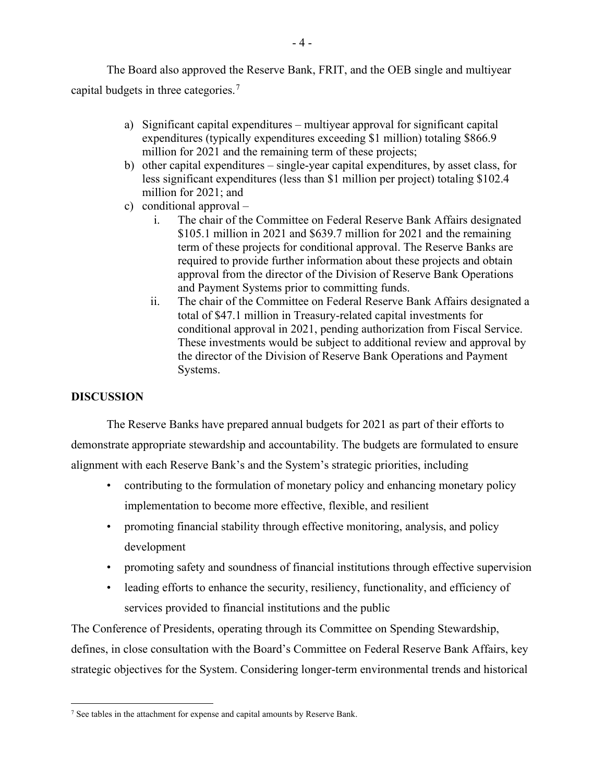The Board also approved the Reserve Bank, FRIT, and the OEB single and multiyear capital budgets in three categories.<sup>7</sup>

- a) Significant capital expenditures multiyear approval for significant capital expenditures (typically expenditures exceeding \$1 million) totaling \$866.9 million for 2021 and the remaining term of these projects;
- b) other capital expenditures single-year capital expenditures, by asset class, for less significant expenditures (less than \$1 million per project) totaling \$102.4 million for 2021; and
- c) conditional approval
	- i. The chair of the Committee on Federal Reserve Bank Affairs designated \$105.1 million in 2021 and \$639.7 million for 2021 and the remaining term of these projects for conditional approval. The Reserve Banks are required to provide further information about these projects and obtain approval from the director of the Division of Reserve Bank Operations and Payment Systems prior to committing funds.
	- ii. The chair of the Committee on Federal Reserve Bank Affairs designated a total of \$47.1 million in Treasury-related capital investments for conditional approval in 2021, pending authorization from Fiscal Service. These investments would be subject to additional review and approval by the director of the Division of Reserve Bank Operations and Payment Systems.

# **DISCUSSION**

The Reserve Banks have prepared annual budgets for 2021 as part of their efforts to demonstrate appropriate stewardship and accountability. The budgets are formulated to ensure alignment with each Reserve Bank's and the System's strategic priorities, including

- contributing to the formulation of monetary policy and enhancing monetary policy implementation to become more effective, flexible, and resilient
- promoting financial stability through effective monitoring, analysis, and policy development
- promoting safety and soundness of financial institutions through effective supervision
- leading efforts to enhance the security, resiliency, functionality, and efficiency of services provided to financial institutions and the public

The Conference of Presidents, operating through its Committee on Spending Stewardship, defines, in close consultation with the Board's Committee on Federal Reserve Bank Affairs, key strategic objectives for the System. Considering longer-term environmental trends and historical

<sup>&</sup>lt;sup>7</sup> See tables in the attachment for expense and capital amounts by Reserve Bank.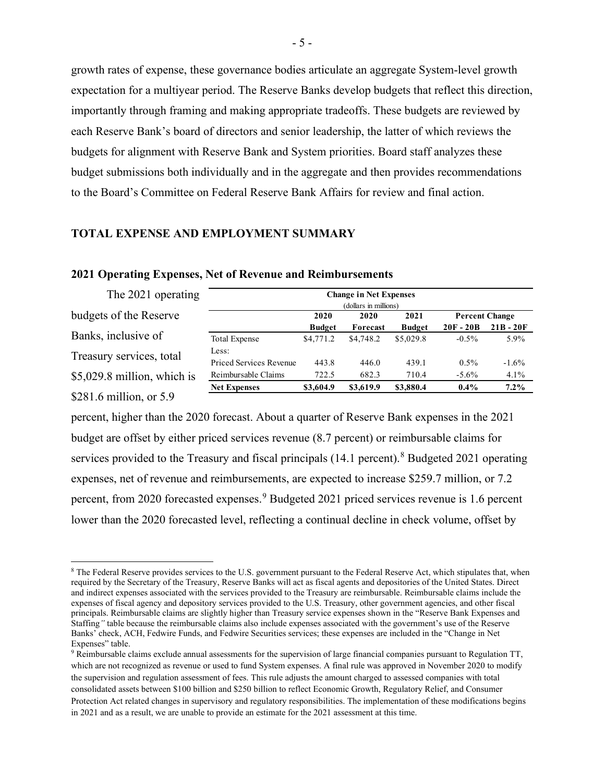growth rates of expense, these governance bodies articulate an aggregate System-level growth expectation for a multiyear period. The Reserve Banks develop budgets that reflect this direction, importantly through framing and making appropriate tradeoffs. These budgets are reviewed by each Reserve Bank's board of directors and senior leadership, the latter of which reviews the budgets for alignment with Reserve Bank and System priorities. Board staff analyzes these budget submissions both individually and in the aggregate and then provides recommendations to the Board's Committee on Federal Reserve Bank Affairs for review and final action.

#### **TOTAL EXPENSE AND EMPLOYMENT SUMMARY**

| The 2021 operating           | <b>Change in Net Expenses</b> |               |           |               |             |                       |  |  |
|------------------------------|-------------------------------|---------------|-----------|---------------|-------------|-----------------------|--|--|
|                              |                               |               |           |               |             |                       |  |  |
| budgets of the Reserve       |                               | 2020          | 2020      | 2021          |             | <b>Percent Change</b> |  |  |
|                              |                               | <b>Budget</b> | Forecast  | <b>Budget</b> | $20F - 20B$ | $21B - 20F$           |  |  |
| Banks, inclusive of          | <b>Total Expense</b>          | \$4,771.2     | \$4,748.2 | \$5,029.8     | $-0.5\%$    | 5.9%                  |  |  |
| Treasury services, total     | Less:                         |               |           |               |             |                       |  |  |
|                              | Priced Services Revenue       | 443.8         | 446.0     | 439.1         | $0.5\%$     | $-1.6\%$              |  |  |
| $$5,029.8$ million, which is | Reimbursable Claims           | 722.5         | 682.3     | 710.4         | $-5.6\%$    | 4.1%                  |  |  |
|                              | <b>Net Expenses</b>           | \$3,604.9     | \$3,619.9 | \$3,880.4     | $0.4\%$     | $7.2\%$               |  |  |
| \$281.6 million, or $5.9$    |                               |               |           |               |             |                       |  |  |

#### **2021 Operating Expenses, Net of Revenue and Reimbursements**

percent, higher than the 2020 forecast. About a quarter of Reserve Bank expenses in the 2021 budget are offset by either priced services revenue (8.7 percent) or reimbursable claims for services provided to the Treasury and fiscal principals (14.1 percent).<sup>8</sup> Budgeted 2021 operating expenses, net of revenue and reimbursements, are expected to increase \$259.7 million, or 7.2 percent, from 2020 forecasted expenses.<sup>9</sup> Budgeted 2021 priced services revenue is 1.6 percent lower than the 2020 forecasted level, reflecting a continual decline in check volume, offset by

<sup>8</sup> The Federal Reserve provides services to the U.S. government pursuant to the Federal Reserve Act, which stipulates that, when required by the Secretary of the Treasury, Reserve Banks will act as fiscal agents and depositories of the United States. Direct and indirect expenses associated with the services provided to the Treasury are reimbursable. Reimbursable claims include the expenses of fiscal agency and depository services provided to the U.S. Treasury, other government agencies, and other fiscal principals. Reimbursable claims are slightly higher than Treasury service expenses shown in the "Reserve Bank Expenses and Staffing*"* table because the reimbursable claims also include expenses associated with the government's use of the Reserve Banks' check, ACH, Fedwire Funds, and Fedwire Securities services; these expenses are included in the "Change in Net Expenses" table.

<sup>9</sup> Reimbursable claims exclude annual assessments for the supervision of large financial companies pursuant to Regulation TT, which are not recognized as revenue or used to fund System expenses. A final rule was approved in November 2020 to modify the supervision and regulation assessment of fees. This rule adjusts the amount charged to assessed companies with total consolidated assets between \$100 billion and \$250 billion to reflect Economic Growth, Regulatory Relief, and Consumer Protection Act related changes in supervisory and regulatory responsibilities. The implementation of these modifications begins in 2021 and as a result, we are unable to provide an estimate for the 2021 assessment at this time.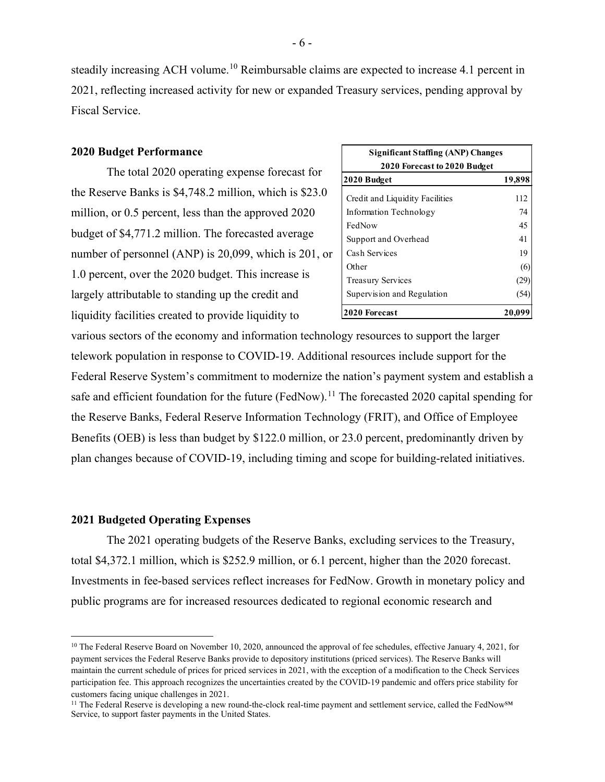steadily increasing ACH volume.<sup>10</sup> Reimbursable claims are expected to increase 4.1 percent in 2021, reflecting increased activity for new or expanded Treasury services, pending approval by Fiscal Service.

#### **2020 Budget Performance**

The total 2020 operating expense forecast for the Reserve Banks is \$4,748.2 million, which is \$23.0 million, or 0.5 percent, less than the approved 2020 budget of \$4,771.2 million. The forecasted average number of personnel (ANP) is 20,099, which is 201, or 1.0 percent, over the 2020 budget. This increase is largely attributable to standing up the credit and liquidity facilities created to provide liquidity to

| <b>Significant Staffing (ANP) Changes</b> |        |  |  |  |  |  |  |  |
|-------------------------------------------|--------|--|--|--|--|--|--|--|
| 2020 Forecast to 2020 Budget              |        |  |  |  |  |  |  |  |
| 2020 Budget                               | 19,898 |  |  |  |  |  |  |  |
| Credit and Liquidity Facilities           | 112    |  |  |  |  |  |  |  |
| Information Technology                    | 74     |  |  |  |  |  |  |  |
| FedNow                                    | 45     |  |  |  |  |  |  |  |
| Support and Overhead                      | 41     |  |  |  |  |  |  |  |
| Cash Services                             | 19     |  |  |  |  |  |  |  |
| Other                                     | 66     |  |  |  |  |  |  |  |
| <b>Treasury Services</b>                  |        |  |  |  |  |  |  |  |
| Supervision and Regulation                |        |  |  |  |  |  |  |  |
| <b>2020 Forecast</b>                      | 20.09  |  |  |  |  |  |  |  |

various sectors of the economy and information technology resources to support the larger telework population in response to COVID-19. Additional resources include support for the Federal Reserve System's commitment to modernize the nation's payment system and establish a safe and efficient foundation for the future (FedNow).<sup>11</sup> The forecasted 2020 capital spending for the Reserve Banks, Federal Reserve Information Technology (FRIT), and Office of Employee Benefits (OEB) is less than budget by \$122.0 million, or 23.0 percent, predominantly driven by plan changes because of COVID-19, including timing and scope for building-related initiatives.

#### **2021 Budgeted Operating Expenses**

The 2021 operating budgets of the Reserve Banks, excluding services to the Treasury, total \$4,372.1 million, which is \$252.9 million, or 6.1 percent, higher than the 2020 forecast. Investments in fee-based services reflect increases for FedNow. Growth in monetary policy and public programs are for increased resources dedicated to regional economic research and

<sup>&</sup>lt;sup>10</sup> The Federal Reserve Board on November 10, 2020, announced the approval of fee schedules, effective January 4, 2021, for payment services the Federal Reserve Banks provide to depository institutions (priced services). The Reserve Banks will maintain the current schedule of prices for priced services in 2021, with the exception of a modification to the Check Services participation fee. This approach recognizes the uncertainties created by the COVID-19 pandemic and offers price stability for customers facing unique challenges in 2021.

<sup>&</sup>lt;sup>11</sup> The Federal Reserve is developing a new round-the-clock real-time payment and settlement service, called the FedNow<sup>SM</sup> Service, to support faster payments in the United States.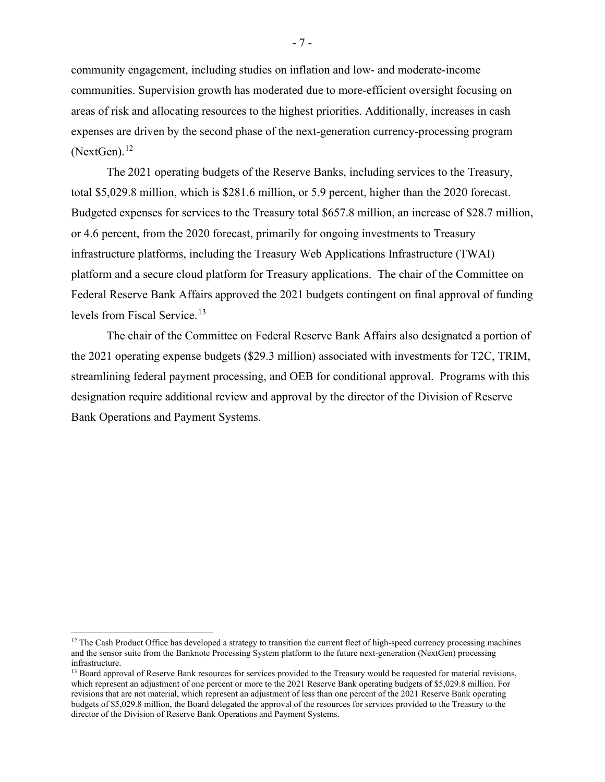community engagement, including studies on inflation and low- and moderate-income communities. Supervision growth has moderated due to more-efficient oversight focusing on areas of risk and allocating resources to the highest priorities. Additionally, increases in cash expenses are driven by the second phase of the next-generation currency-processing program  $(NextGen).<sup>12</sup>$ 

The 2021 operating budgets of the Reserve Banks, including services to the Treasury, total \$5,029.8 million, which is \$281.6 million, or 5.9 percent, higher than the 2020 forecast. Budgeted expenses for services to the Treasury total \$657.8 million, an increase of \$28.7 million, or 4.6 percent, from the 2020 forecast, primarily for ongoing investments to Treasury infrastructure platforms, including the Treasury Web Applications Infrastructure (TWAI) platform and a secure cloud platform for Treasury applications. The chair of the Committee on Federal Reserve Bank Affairs approved the 2021 budgets contingent on final approval of funding levels from Fiscal Service. 13

The chair of the Committee on Federal Reserve Bank Affairs also designated a portion of the 2021 operating expense budgets (\$29.3 million) associated with investments for T2C, TRIM, streamlining federal payment processing, and OEB for conditional approval. Programs with this designation require additional review and approval by the director of the Division of Reserve Bank Operations and Payment Systems.

 $12$  The Cash Product Office has developed a strategy to transition the current fleet of high-speed currency processing machines and the sensor suite from the Banknote Processing System platform to the future next-generation (NextGen) processing infrastructure.

<sup>&</sup>lt;sup>13</sup> Board approval of Reserve Bank resources for services provided to the Treasury would be requested for material revisions, which represent an adjustment of one percent or more to the 2021 Reserve Bank operating budgets of \$5,029.8 million. For revisions that are not material, which represent an adjustment of less than one percent of the 2021 Reserve Bank operating budgets of \$5,029.8 million, the Board delegated the approval of the resources for services provided to the Treasury to the director of the Division of Reserve Bank Operations and Payment Systems.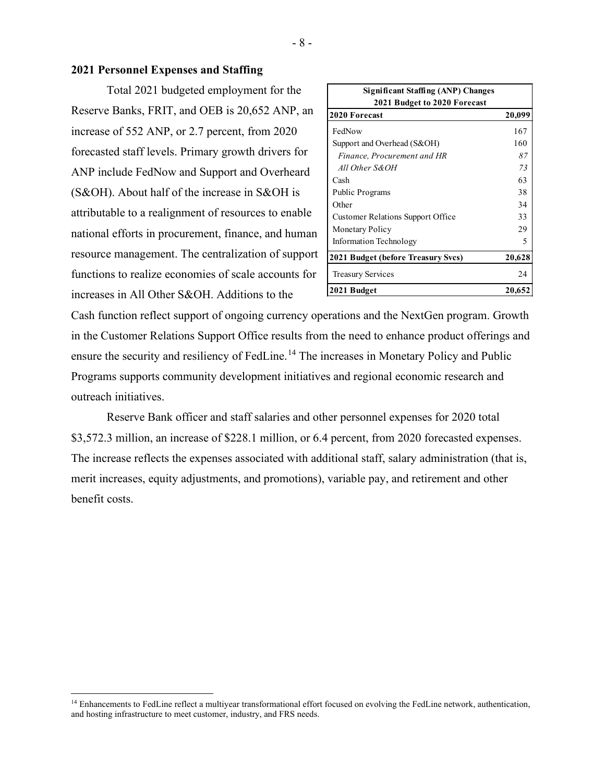#### **2021 Personnel Expenses and Staffing**

Total 2021 budgeted employment for the Reserve Banks, FRIT, and OEB is 20,652 ANP, an increase of 552 ANP, or 2.7 percent, from 2020 forecasted staff levels. Primary growth drivers for ANP include FedNow and Support and Overheard (S&OH). About half of the increase in S&OH is attributable to a realignment of resources to enable national efforts in procurement, finance, and human resource management. The centralization of support functions to realize economies of scale accounts for increases in All Other S&OH. Additions to the

| <b>Significant Staffing (ANP) Changes</b> |        |  |  |  |  |  |  |
|-------------------------------------------|--------|--|--|--|--|--|--|
| 2021 Budget to 2020 Forecast              |        |  |  |  |  |  |  |
| 2020 Forecast                             | 20,099 |  |  |  |  |  |  |
| FedNow                                    | 167    |  |  |  |  |  |  |
| Support and Overhead (S&OH)               | 160    |  |  |  |  |  |  |
| Finance, Procurement and HR               | 87     |  |  |  |  |  |  |
| All Other S&OH                            | 73     |  |  |  |  |  |  |
| Cash                                      | 63     |  |  |  |  |  |  |
| Public Programs                           | 38     |  |  |  |  |  |  |
| Other                                     | 34     |  |  |  |  |  |  |
| <b>Customer Relations Support Office</b>  | 33     |  |  |  |  |  |  |
| <b>Monetary Policy</b>                    | 29     |  |  |  |  |  |  |
| Information Technology                    | 5      |  |  |  |  |  |  |
| 2021 Budget (before Treasury Svcs)        | 20,628 |  |  |  |  |  |  |
| <b>Treasury Services</b>                  | 24     |  |  |  |  |  |  |
| 2021 Budget                               | 20,652 |  |  |  |  |  |  |

Cash function reflect support of ongoing currency operations and the NextGen program. Growth in the Customer Relations Support Office results from the need to enhance product offerings and ensure the security and resiliency of FedLine.<sup>14</sup> The increases in Monetary Policy and Public Programs supports community development initiatives and regional economic research and outreach initiatives.

Reserve Bank officer and staff salaries and other personnel expenses for 2020 total \$3,572.3 million, an increase of \$228.1 million, or 6.4 percent, from 2020 forecasted expenses. The increase reflects the expenses associated with additional staff, salary administration (that is, merit increases, equity adjustments, and promotions), variable pay, and retirement and other benefit costs.

<sup>&</sup>lt;sup>14</sup> Enhancements to FedLine reflect a multiyear transformational effort focused on evolving the FedLine network, authentication, and hosting infrastructure to meet customer, industry, and FRS needs.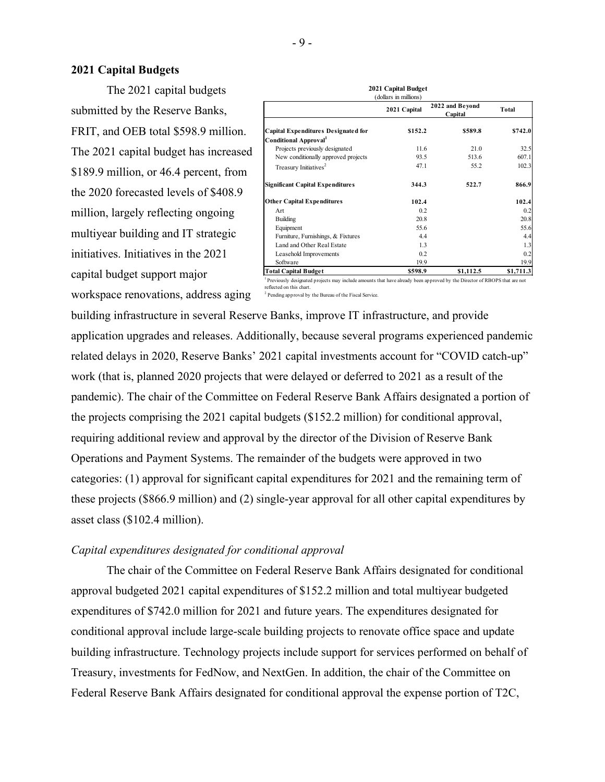#### **2021 Capital Budgets**

The 2021 capital budgets submitted by the Reserve Banks, FRIT, and OEB total \$598.9 million. The 2021 capital budget has increased \$189.9 million, or 46.4 percent, from the 2020 forecasted levels of \$408.9 million, largely reflecting ongoing multiyear building and IT strategic initiatives. Initiatives in the 2021 capital budget support major workspace renovations, address aging

|                                         | 2021 Capital | 2022 and Bevond<br>Capital | Total     |
|-----------------------------------------|--------------|----------------------------|-----------|
| Capital Expenditures Designated for     | \$152.2      | \$589.8                    | \$742.0   |
| Conditional Approval <sup>1</sup>       |              |                            |           |
| Projects previously designated          | 11.6         | 21.0                       | 32.5      |
| New conditionally approved projects     | 93.5         | 513.6                      | 607.1     |
| Treasury Initiatives <sup>2</sup>       | 47.1         | 55.2                       | 102.3     |
| <b>Significant Capital Expenditures</b> | 344.3        | 522.7                      | 866.9     |
| <b>Other Capital Expenditures</b>       | 102.4        |                            | 102.4     |
| Art                                     | 0.2          |                            | 0.2       |
| Building                                | 20.8         |                            | 20.8      |
| Equipment                               | 55.6         |                            | 55.6      |
| Furniture, Furnishings, & Fixtures      | 4.4          |                            | 4.4       |
| Land and Other Real Estate              | 1.3          |                            | 1.3       |
| Leasehold Improvements                  | 0.2          |                            | 0.2       |
| Software                                | 19.9         |                            | 19.9      |
| Total Capital Budget                    | \$598.9      | \$1,112.5                  | \$1,711.3 |

**2021 Capital Budget**

<sup>1</sup> Previously designated projects may include amounts that have already been approved by the Director of RBOPS that are not reflected on this chart.

<sup>2</sup> Pending approval by the Bureau of the Fiscal Service.

building infrastructure in several Reserve Banks, improve IT infrastructure, and provide application upgrades and releases. Additionally, because several programs experienced pandemic related delays in 2020, Reserve Banks' 2021 capital investments account for "COVID catch-up" work (that is, planned 2020 projects that were delayed or deferred to 2021 as a result of the pandemic). The chair of the Committee on Federal Reserve Bank Affairs designated a portion of the projects comprising the 2021 capital budgets (\$152.2 million) for conditional approval, requiring additional review and approval by the director of the Division of Reserve Bank Operations and Payment Systems. The remainder of the budgets were approved in two categories: (1) approval for significant capital expenditures for 2021 and the remaining term of these projects (\$866.9 million) and (2) single-year approval for all other capital expenditures by asset class (\$102.4 million).

#### *Capital expenditures designated for conditional approval*

The chair of the Committee on Federal Reserve Bank Affairs designated for conditional approval budgeted 2021 capital expenditures of \$152.2 million and total multiyear budgeted expenditures of \$742.0 million for 2021 and future years. The expenditures designated for conditional approval include large-scale building projects to renovate office space and update building infrastructure. Technology projects include support for services performed on behalf of Treasury, investments for FedNow, and NextGen. In addition, the chair of the Committee on Federal Reserve Bank Affairs designated for conditional approval the expense portion of T2C,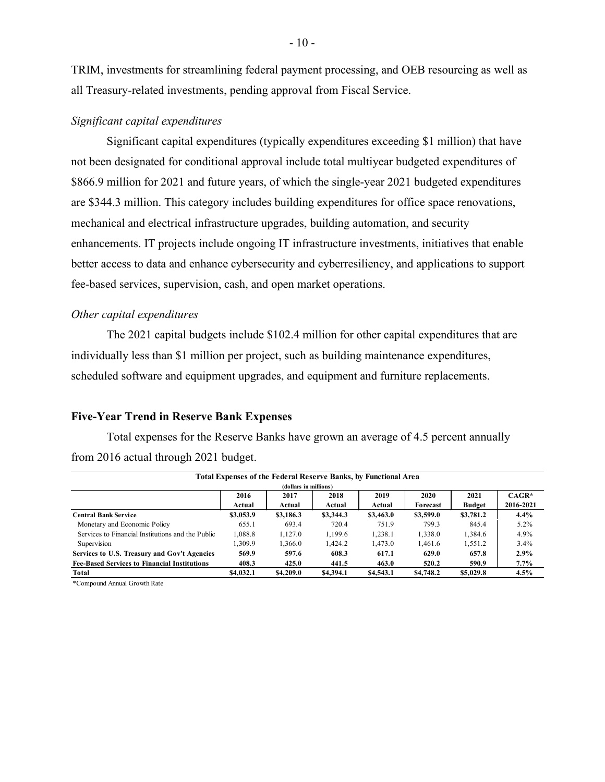TRIM, investments for streamlining federal payment processing, and OEB resourcing as well as all Treasury-related investments, pending approval from Fiscal Service.

#### *Significant capital expenditures*

Significant capital expenditures (typically expenditures exceeding \$1 million) that have not been designated for conditional approval include total multiyear budgeted expenditures of \$866.9 million for 2021 and future years, of which the single-year 2021 budgeted expenditures are \$344.3 million. This category includes building expenditures for office space renovations, mechanical and electrical infrastructure upgrades, building automation, and security enhancements. IT projects include ongoing IT infrastructure investments, initiatives that enable better access to data and enhance cybersecurity and cyberresiliency, and applications to support fee-based services, supervision, cash, and open market operations.

#### *Other capital expenditures*

The 2021 capital budgets include \$102.4 million for other capital expenditures that are individually less than \$1 million per project, such as building maintenance expenditures, scheduled software and equipment upgrades, and equipment and furniture replacements.

#### **Five-Year Trend in Reserve Bank Expenses**

Total expenses for the Reserve Banks have grown an average of 4.5 percent annually from 2016 actual through 2021 budget.

| Total Expenses of the Federal Reserve Banks, by Functional Area |                       |           |           |           |           |               |           |  |  |  |  |
|-----------------------------------------------------------------|-----------------------|-----------|-----------|-----------|-----------|---------------|-----------|--|--|--|--|
|                                                                 | (dollars in millions) |           |           |           |           |               |           |  |  |  |  |
|                                                                 | 2016                  | 2017      | 2018      | 2019      | 2020      | 2021          | $CAGR*$   |  |  |  |  |
|                                                                 | Actual                | Actual    | Actual    | Actual    | Forecast  | <b>Budget</b> | 2016-2021 |  |  |  |  |
| <b>Central Bank Service</b>                                     | \$3,053.9             | \$3,186.3 | \$3,344.3 | \$3,463.0 | \$3,599.0 | \$3,781.2     | 4.4%      |  |  |  |  |
| Monetary and Economic Policy                                    | 655.1                 | 693.4     | 720.4     | 751.9     | 799.3     | 845.4         | $5.2\%$   |  |  |  |  |
| Services to Financial Institutions and the Public               | 1.088.8               | 1.127.0   | 1.199.6   | 1.238.1   | 1,338.0   | 1.384.6       | 4.9%      |  |  |  |  |
| Supervision                                                     | 1.309.9               | 1.366.0   | 1.424.2   | 1.473.0   | 1.461.6   | 1,551.2       | 3.4%      |  |  |  |  |
| Services to U.S. Treasury and Gov't Agencies                    | 569.9                 | 597.6     | 608.3     | 617.1     | 629.0     | 657.8         | 2.9%      |  |  |  |  |
| <b>Fee-Based Services to Financial Institutions</b>             | 408.3                 | 425.0     | 441.5     | 463.0     | 520.2     | 590.9         | 7.7%      |  |  |  |  |
| Total                                                           | \$4,032.1             | \$4,209.0 | \$4,394.1 | \$4,543.1 | \$4,748.2 | \$5,029.8     | 4.5%      |  |  |  |  |

\*Compound Annual Growth Rate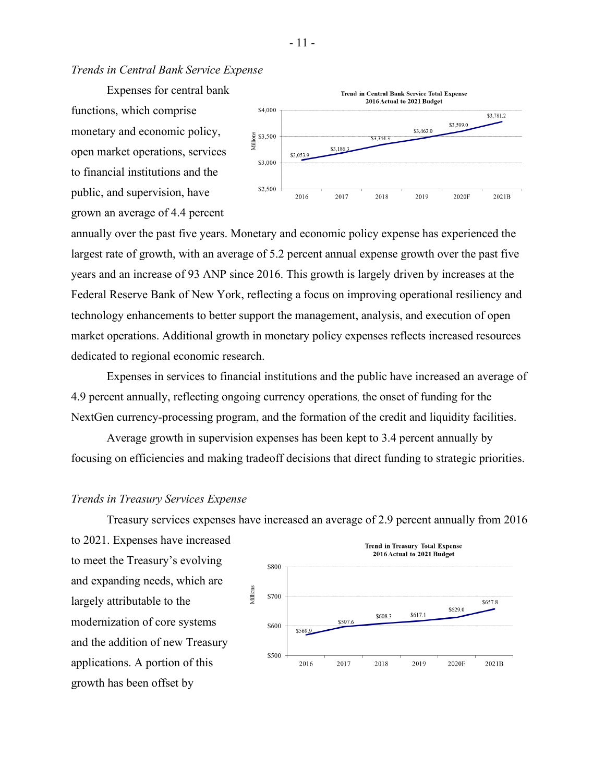*Trends in Central Bank Service Expense* 

Expenses for central bank functions, which comprise monetary and economic policy, open market operations, services to financial institutions and the public, and supervision, have grown an average of 4.4 percent



annually over the past five years. Monetary and economic policy expense has experienced the largest rate of growth, with an average of 5.2 percent annual expense growth over the past five years and an increase of 93 ANP since 2016. This growth is largely driven by increases at the Federal Reserve Bank of New York, reflecting a focus on improving operational resiliency and technology enhancements to better support the management, analysis, and execution of open market operations. Additional growth in monetary policy expenses reflects increased resources dedicated to regional economic research.

Expenses in services to financial institutions and the public have increased an average of 4.9 percent annually, reflecting ongoing currency operations, the onset of funding for the NextGen currency-processing program, and the formation of the credit and liquidity facilities.

Average growth in supervision expenses has been kept to 3.4 percent annually by focusing on efficiencies and making tradeoff decisions that direct funding to strategic priorities.

#### *Trends in Treasury Services Expense*

Treasury services expenses have increased an average of 2.9 percent annually from 2016

to 2021. Expenses have increased to meet the Treasury's evolving and expanding needs, which are largely attributable to the modernization of core systems and the addition of new Treasury applications. A portion of this growth has been offset by

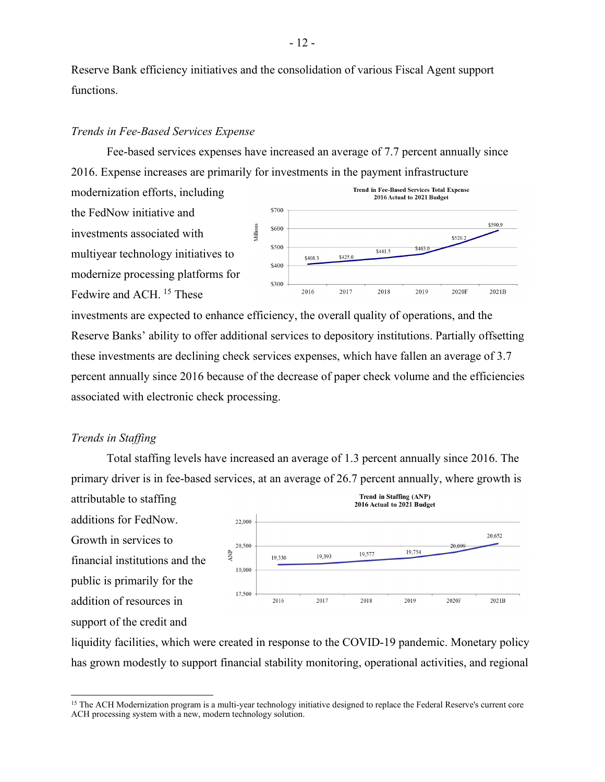Reserve Bank efficiency initiatives and the consolidation of various Fiscal Agent support functions.

#### *Trends in Fee-Based Services Expense*

Fee-based services expenses have increased an average of 7.7 percent annually since 2016. Expense increases are primarily for investments in the payment infrastructure

Villions

modernization efforts, including the FedNow initiative and investments associated with multiyear technology initiatives to modernize processing platforms for Fedwire and ACH.<sup>15</sup> These



20,652

2021B

investments are expected to enhance efficiency, the overall quality of operations, and the Reserve Banks' ability to offer additional services to depository institutions. Partially offsetting these investments are declining check services expenses, which have fallen an average of 3.7 percent annually since 2016 because of the decrease of paper check volume and the efficiencies associated with electronic check processing.

#### *Trends in Staffing*

Total staffing levels have increased an average of 1.3 percent annually since 2016. The primary driver is in fee-based services, at an average of 26.7 percent annually, where growth is

Trend in Staffing (ANP) attributable to staffing 2016 Actual to 2021 Budget additions for FedNow. 22,000 Growth in services to 20,500 20,099 19,754 **ANP** 19,577 19,393 19,330 financial institutions and the 19 000 public is primarily for the 17.500 addition of resources in 2016 2017 2018 2019 2020F support of the credit and

liquidity facilities, which were created in response to the COVID-19 pandemic. Monetary policy has grown modestly to support financial stability monitoring, operational activities, and regional

<sup>&</sup>lt;sup>15</sup> The ACH Modernization program is a multi-year technology initiative designed to replace the Federal Reserve's current core ACH processing system with a new, modern technology solution.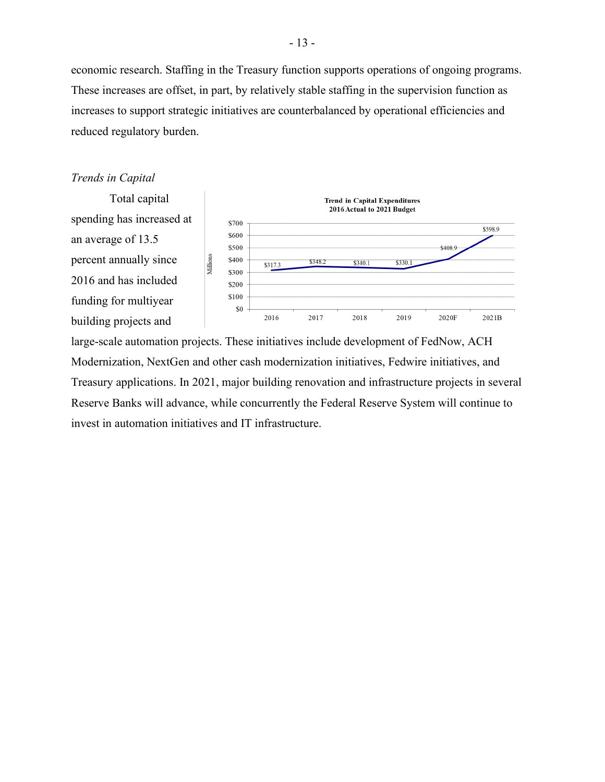economic research. Staffing in the Treasury function supports operations of ongoing programs. These increases are offset, in part, by relatively stable staffing in the supervision function as increases to support strategic initiatives are counterbalanced by operational efficiencies and reduced regulatory burden.

#### *Trends in Capital*



large-scale automation projects. These initiatives include development of FedNow, ACH Modernization, NextGen and other cash modernization initiatives, Fedwire initiatives, and Treasury applications. In 2021, major building renovation and infrastructure projects in several Reserve Banks will advance, while concurrently the Federal Reserve System will continue to invest in automation initiatives and IT infrastructure.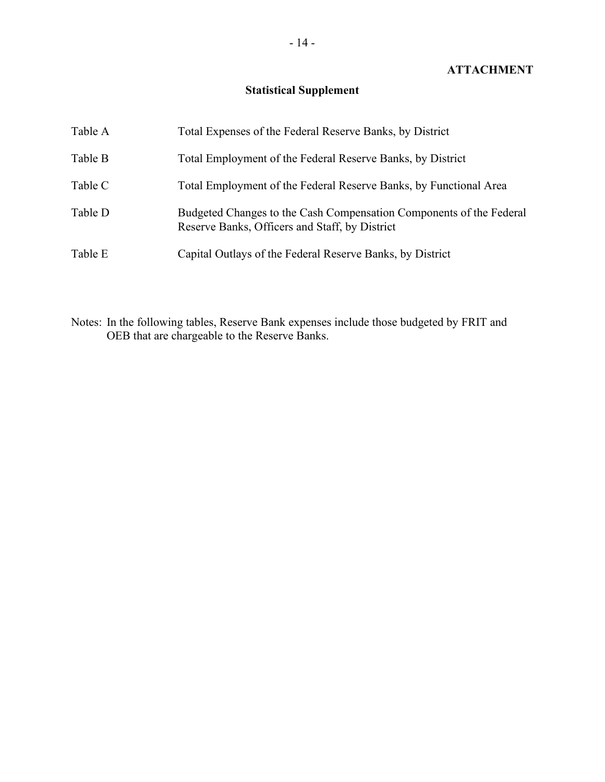### **ATTACHMENT**

# **Statistical Supplement**

| Table A | Total Expenses of the Federal Reserve Banks, by District                                                              |
|---------|-----------------------------------------------------------------------------------------------------------------------|
| Table B | Total Employment of the Federal Reserve Banks, by District                                                            |
| Table C | Total Employment of the Federal Reserve Banks, by Functional Area                                                     |
| Table D | Budgeted Changes to the Cash Compensation Components of the Federal<br>Reserve Banks, Officers and Staff, by District |
| Table E | Capital Outlays of the Federal Reserve Banks, by District                                                             |

Notes: In the following tables, Reserve Bank expenses include those budgeted by FRIT and OEB that are chargeable to the Reserve Banks.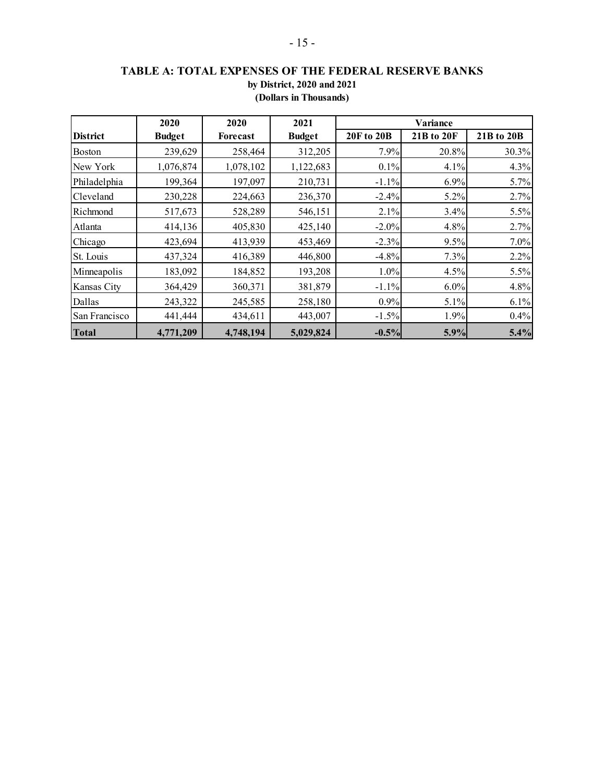# **TABLE A: TOTAL EXPENSES OF THE FEDERAL RESERVE BANKS by District, 2020 and 2021 (Dollars in Thousands)**

|                 | 2020          | 2020            | 2021          | Variance   |            |            |  |
|-----------------|---------------|-----------------|---------------|------------|------------|------------|--|
| <b>District</b> | <b>Budget</b> | <b>Forecast</b> | <b>Budget</b> | 20F to 20B | 21B to 20F | 21B to 20B |  |
| <b>Boston</b>   | 239,629       | 258,464         | 312,205       | 7.9%       | 20.8%      | 30.3%      |  |
| New York        | 1,076,874     | 1,078,102       | 1,122,683     | 0.1%       | 4.1%       | 4.3%       |  |
| Philadelphia    | 199,364       | 197,097         | 210,731       | $-1.1%$    | 6.9%       | 5.7%       |  |
| Cleveland       | 230,228       | 224,663         | 236,370       | $-2.4%$    | 5.2%       | 2.7%       |  |
| Richmond        | 517,673       | 528,289         | 546,151       | 2.1%       | 3.4%       | 5.5%       |  |
| Atlanta         | 414,136       | 405,830         | 425,140       | $-2.0\%$   | 4.8%       | 2.7%       |  |
| Chicago         | 423,694       | 413,939         | 453,469       | $-2.3%$    | 9.5%       | 7.0%       |  |
| St. Louis       | 437,324       | 416,389         | 446,800       | $-4.8%$    | 7.3%       | 2.2%       |  |
| Minneapolis     | 183,092       | 184,852         | 193,208       | $1.0\%$    | 4.5%       | 5.5%       |  |
| Kansas City     | 364,429       | 360,371         | 381,879       | $-1.1%$    | 6.0%       | 4.8%       |  |
| Dallas          | 243,322       | 245,585         | 258,180       | 0.9%       | 5.1%       | 6.1%       |  |
| San Francisco   | 441,444       | 434,611         | 443,007       | $-1.5%$    | 1.9%       | 0.4%       |  |
| <b>Total</b>    | 4,771,209     | 4,748,194       | 5,029,824     | $-0.5%$    | 5.9%       | 5.4%       |  |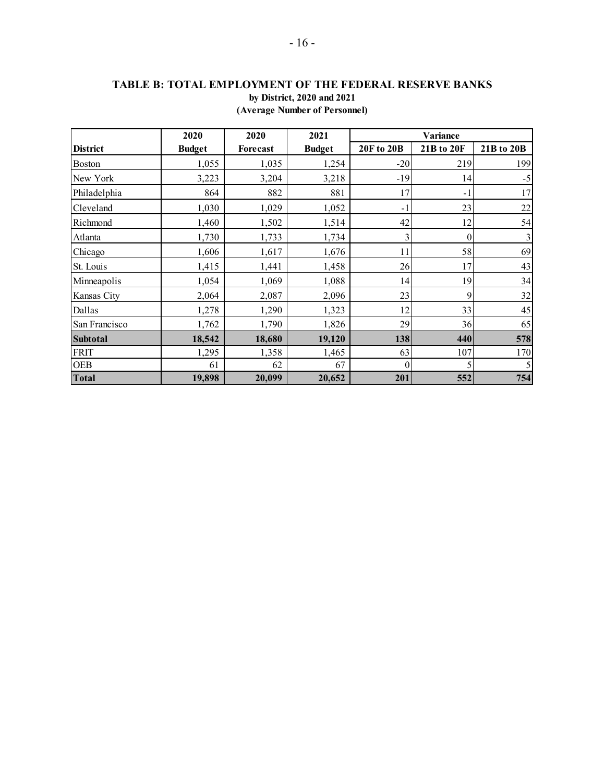### **TABLE B: TOTAL EMPLOYMENT OF THE FEDERAL RESERVE BANKS by District, 2020 and 2021 (Average Number of Personnel)**

|                 | 2020          | 2020     | 2021          | <b>Variance</b>   |              |                |  |
|-----------------|---------------|----------|---------------|-------------------|--------------|----------------|--|
| <b>District</b> | <b>Budget</b> | Forecast | <b>Budget</b> | <b>20F to 20B</b> | 21B to 20F   | 21B to 20B     |  |
| <b>Boston</b>   | 1,055         | 1,035    | 1,254         | $-20$             | 219          | 199            |  |
| New York        | 3,223         | 3,204    | 3,218         | $-19$             | 14           | $-5$           |  |
| Philadelphia    | 864           | 882      | 881           | 17                | $-1$         | 17             |  |
| Cleveland       | 1,030         | 1,029    | 1,052         | $-1$              | 23           | $22\,$         |  |
| Richmond        | 1,460         | 1,502    | 1,514         | 42                | 12           | 54             |  |
| Atlanta         | 1,730         | 1,733    | 1,734         | 3                 | $\mathbf{0}$ | $\mathfrak{Z}$ |  |
| Chicago         | 1,606         | 1,617    | 1,676         | 11                | 58           | 69             |  |
| St. Louis       | 1,415         | 1,441    | 1,458         | 26                | 17           | 43             |  |
| Minneapolis     | 1,054         | 1,069    | 1,088         | 14                | 19           | 34             |  |
| Kansas City     | 2,064         | 2,087    | 2,096         | 23                | 9            | 32             |  |
| Dallas          | 1,278         | 1,290    | 1,323         | 12                | 33           | 45             |  |
| San Francisco   | 1,762         | 1,790    | 1,826         | 29                | 36           | 65             |  |
| <b>Subtotal</b> | 18,542        | 18,680   | 19,120        | 138               | 440          | 578            |  |
| <b>FRIT</b>     | 1,295         | 1,358    | 1,465         | 63                | 107          | 170            |  |
| <b>OEB</b>      | 61            | 62       | 67            | $\theta$          | 5            |                |  |
| <b>Total</b>    | 19,898        | 20,099   | 20,652        | 201               | 552          | 754            |  |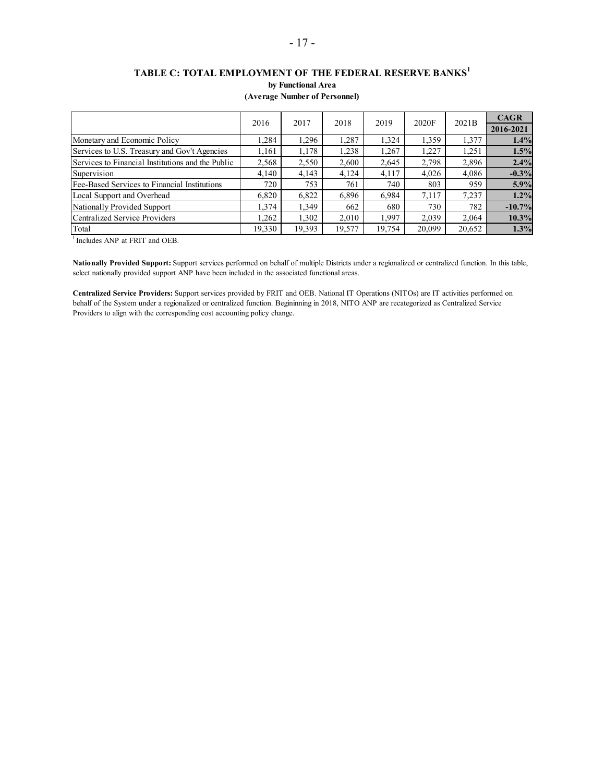# **TABLE C: TOTAL EMPLOYMENT OF THE FEDERAL RESERVE BANKS<sup>1</sup> by Functional Area**

| (Average Number of Personnel) |  |  |  |
|-------------------------------|--|--|--|
|-------------------------------|--|--|--|

|                                                   | 2016   | 2017   | 2018   | 2019   | 2020F  | 2021B  | <b>CAGR</b> |
|---------------------------------------------------|--------|--------|--------|--------|--------|--------|-------------|
|                                                   |        |        |        |        |        |        | 2016-2021   |
| Monetary and Economic Policy                      | .284   | 1.296  | 1,287  | 1.324  | 1,359  | 1,377  | 1.4%        |
| Services to U.S. Treasury and Gov't Agencies      | 1,161  | 1,178  | 1,238  | 1.267  | 1,227  | 1,251  | 1.5%        |
| Services to Financial Institutions and the Public | 2,568  | 2,550  | 2,600  | 2,645  | 2,798  | 2,896  | 2.4%        |
| Supervision                                       | 4.140  | 4,143  | 4,124  | 4,117  | 4,026  | 4.086  | $-0.3\%$    |
| Fee-Based Services to Financial Institutions      | 720    | 753    | 761    | 740    | 803    | 959    | 5.9%        |
| Local Support and Overhead                        | 6,820  | 6,822  | 6,896  | 6.984  | 7,117  | 7.237  | 1.2%        |
| Nationally Provided Support                       | 1.374  | 1,349  | 662    | 680    | 730    | 782    | $-10.7%$    |
| Centralized Service Providers                     | .262   | 1,302  | 2.010  | 1.997  | 2,039  | 2.064  | 10.3%       |
| Total                                             | 19,330 | 19,393 | 19,577 | 19,754 | 20,099 | 20,652 | 1.3%        |

<sup>1</sup> Includes ANP at FRIT and OEB.

**Nationally Provided Support:** Support services performed on behalf of multiple Districts under a regionalized or centralized function. In this table, select nationally provided support ANP have been included in the associated functional areas.

**Centralized Service Providers:** Support services provided by FRIT and OEB. National IT Operations (NITOs) are IT activities performed on behalf of the System under a regionalized or centralized function. Begininning in 2018, NITO ANP are recategorized as Centralized Service Providers to align with the corresponding cost accounting policy change.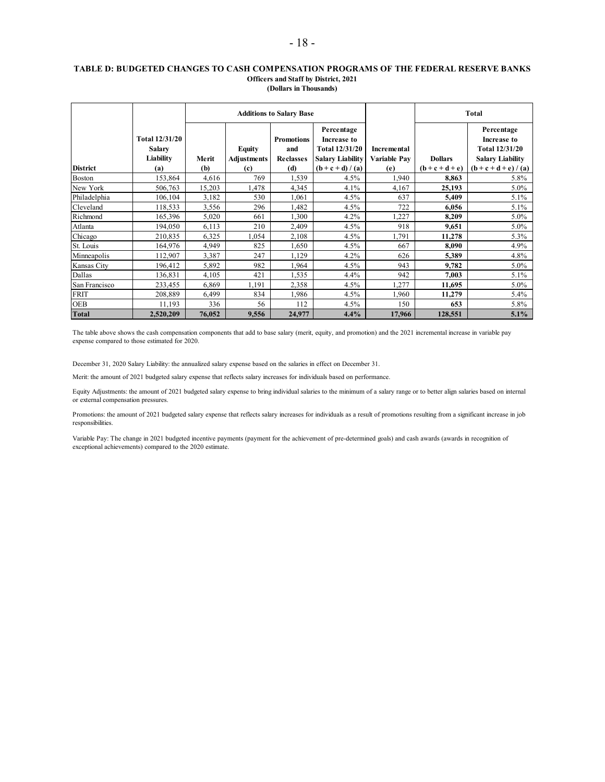#### **TABLE D: BUDGETED CHANGES TO CASH COMPENSATION PROGRAMS OF THE FEDERAL RESERVE BANKS Officers and Staff by District, 2021 (Dollars in Thousands)**

|                 |                                                            |              |                                            | <b>Additions to Salary Base</b>                     |                                                                                                      |                                    | <b>Total</b>                        |                                                                                                          |  |
|-----------------|------------------------------------------------------------|--------------|--------------------------------------------|-----------------------------------------------------|------------------------------------------------------------------------------------------------------|------------------------------------|-------------------------------------|----------------------------------------------------------------------------------------------------------|--|
| <b>District</b> | <b>Total 12/31/20</b><br><b>Salary</b><br>Liability<br>(a) | Merit<br>(b) | <b>Equity</b><br><b>Adjustments</b><br>(c) | <b>Promotions</b><br>and<br><b>Reclasses</b><br>(d) | Percentage<br>Increase to<br><b>Total 12/31/20</b><br><b>Salary Liability</b><br>$(b + c + d) / (a)$ | Incremental<br>Variable Pav<br>(e) | <b>Dollars</b><br>$(b + c + d + e)$ | Percentage<br>Increase to<br><b>Total 12/31/20</b><br><b>Salary Liability</b><br>$(b + c + d + e) / (a)$ |  |
| <b>Boston</b>   | 153,864                                                    | 4,616        | 769                                        | 1,539                                               | 4.5%                                                                                                 | 1,940                              | 8,863                               | 5.8%                                                                                                     |  |
| New York        | 506,763                                                    | 15,203       | 1,478                                      | 4,345                                               | 4.1%                                                                                                 | 4,167                              | 25,193                              | 5.0%                                                                                                     |  |
| Philadelphia    | 106,104                                                    | 3,182        | 530                                        | 1,061                                               | 4.5%                                                                                                 | 637                                | 5,409                               | $5.1\%$                                                                                                  |  |
| Cleveland       | 118,533                                                    | 3,556        | 296                                        | 1,482                                               | 4.5%                                                                                                 | 722                                | 6,056                               | $5.1\%$                                                                                                  |  |
| Richmond        | 165,396                                                    | 5,020        | 661                                        | 1,300                                               | 4.2%                                                                                                 | 1,227                              | 8,209                               | 5.0%                                                                                                     |  |
| Atlanta         | 194,050                                                    | 6,113        | 210                                        | 2,409                                               | 4.5%                                                                                                 | 918                                | 9,651                               | 5.0%                                                                                                     |  |
| Chicago         | 210,835                                                    | 6,325        | 1,054                                      | 2,108                                               | 4.5%                                                                                                 | 1,791                              | 11,278                              | 5.3%                                                                                                     |  |
| St. Louis       | 164,976                                                    | 4,949        | 825                                        | 1,650                                               | 4.5%                                                                                                 | 667                                | 8,090                               | 4.9%                                                                                                     |  |
| Minneapolis     | 112,907                                                    | 3,387        | 247                                        | 1,129                                               | 4.2%                                                                                                 | 626                                | 5,389                               | 4.8%                                                                                                     |  |
| Kansas City     | 196,412                                                    | 5,892        | 982                                        | 1,964                                               | 4.5%                                                                                                 | 943                                | 9,782                               | 5.0%                                                                                                     |  |
| Dallas          | 136,831                                                    | 4,105        | 421                                        | 1,535                                               | 4.4%                                                                                                 | 942                                | 7,003                               | 5.1%                                                                                                     |  |
| San Francisco   | 233,455                                                    | 6,869        | 1,191                                      | 2,358                                               | 4.5%                                                                                                 | 1,277                              | 11,695                              | $5.0\%$                                                                                                  |  |
| <b>FRIT</b>     | 208,889                                                    | 6,499        | 834                                        | 1,986                                               | 4.5%                                                                                                 | 1,960                              | 11,279                              | 5.4%                                                                                                     |  |
| <b>OEB</b>      | 11,193                                                     | 336          | 56                                         | 112                                                 | 4.5%                                                                                                 | 150                                | 653                                 | 5.8%                                                                                                     |  |
| <b>Total</b>    | 2,520,209                                                  | 76,052       | 9,556                                      | 24,977                                              | 4.4%                                                                                                 | 17,966                             | 128,551                             | 5.1%                                                                                                     |  |

The table above shows the cash compensation components that add to base salary (merit, equity, and promotion) and the 2021 incremental increase in variable pay expense compared to those estimated for 2020.

December 31, 2020 Salary Liability: the annualized salary expense based on the salaries in effect on December 31.

Merit: the amount of 2021 budgeted salary expense that reflects salary increases for individuals based on performance.

Equity Adjustments: the amount of 2021 budgeted salary expense to bring individual salaries to the minimum of a salary range or to better align salaries based on internal or external compensation pressures.

Promotions: the amount of 2021 budgeted salary expense that reflects salary increases for individuals as a result of promotions resulting from a significant increase in job responsibilities.

Variable Pay: The change in 2021 budgeted incentive payments (payment for the achievement of pre-determined goals) and cash awards (awards in recognition of exceptional achievements) compared to the 2020 estimate.